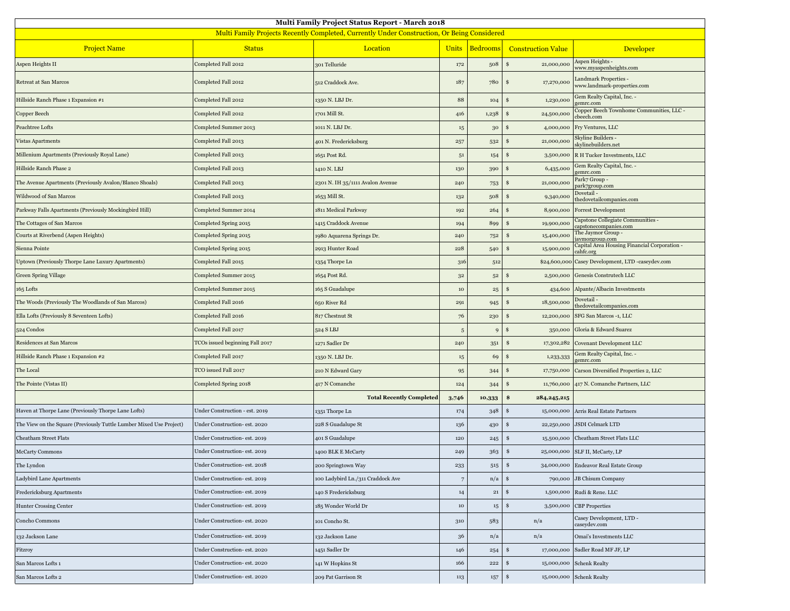| Multi Family Project Status Report - March 2018                                             |                                 |                                   |                |                 |                             |                                                            |  |  |  |  |
|---------------------------------------------------------------------------------------------|---------------------------------|-----------------------------------|----------------|-----------------|-----------------------------|------------------------------------------------------------|--|--|--|--|
| Multi Family Projects Recently Completed, Currently Under Construction, Or Being Considered |                                 |                                   |                |                 |                             |                                                            |  |  |  |  |
| <b>Project Name</b>                                                                         | <b>Status</b>                   | Location                          | <b>Units</b>   | <b>Bedrooms</b> | <b>Construction Value</b>   | Developer                                                  |  |  |  |  |
| Aspen Heights II                                                                            | Completed Fall 2012             | 301 Telluride                     | 172            | 508             | $\mathbf{s}$<br>21,000,000  | Aspen Heights -<br>www.myaspenheights.com                  |  |  |  |  |
| Retreat at San Marcos                                                                       | Completed Fall 2012             | 512 Craddock Ave.                 | 187            | 780             | 17,270,000<br>-\$           | Landmark Properties -<br>www.landmark-properties.com       |  |  |  |  |
| Hillside Ranch Phase 1 Expansion #1                                                         | Completed Fall 2012             | 1350 N. LBJ Dr.                   | 88             | 104             | 1,230,000<br>\$.            | Gem Realty Capital, Inc. -<br>gemrc.com                    |  |  |  |  |
| Copper Beech                                                                                | Completed Fall 2012             | 1701 Mill St.                     | 416            | 1,238           | 24,500,000<br>£.            | Copper Beech Townhome Communities, LLC -<br>cbeech.com     |  |  |  |  |
| Peachtree Lofts                                                                             | Completed Summer 2013           | 1011 N. LBJ Dr.                   | $15\,$         | 30              | 4,000,000                   | Fry Ventures, LLC                                          |  |  |  |  |
| Vistas Apartments                                                                           | Completed Fall 2013             | 401 N. Fredericksburg             | 257            | 532             | 21,000,000<br>\$            | Skyline Builders -<br>skylinebuilders.net                  |  |  |  |  |
| Millenium Apartments (Previously Royal Lane)                                                | Completed Fall 2013             | 1651 Post Rd.                     | $5^{\rm 1}$    | 154             | <sup>\$</sup><br>3,500,000  | R H Tucker Investments, LLC                                |  |  |  |  |
| Hillside Ranch Phase 2                                                                      | Completed Fall 2013             | 1410 N. LBJ                       | 130            | 390             | 6,435,000                   | Gem Realty Capital, Inc. -<br>gemrc.com                    |  |  |  |  |
| The Avenue Apartments (Previously Avalon/Blanco Shoals)                                     | Completed Fall 2013             | 2301 N. IH 35/1111 Avalon Avenue  | 240            | 753             | 21,000,000<br>-S            | Park7 Group -<br>park7group.com                            |  |  |  |  |
| Wildwood of San Marcos                                                                      | Completed Fall 2013             | 1653 Mill St.                     | 132            | 508             | S<br>9,340,000              | Dovetail -<br>thedovetailcompanies.com                     |  |  |  |  |
| Parkway Falls Apartments (Previously Mockingbird Hill)                                      | Completed Summer 2014           | 1811 Medical Parkway              | 192            | 264             | 8,900,000                   | Forrest Development                                        |  |  |  |  |
| The Cottages of San Marcos                                                                  | Completed Spring 2015           | 1415 Craddock Avenue              | 194            | 899             | 19,900,000<br>£.            | Capstone Collegiate Communities -<br>capstonecompanies.com |  |  |  |  |
| Courts at Riverbend (Aspen Heights)                                                         | Completed Spring 2015           | 1980 Aquarena Springs Dr.         | 240            | 752             | 15,400,000<br>\$            | The Jaymor Group -<br>aymorgroup.com                       |  |  |  |  |
| Sienna Pointe                                                                               | Completed Spring 2015           | 2913 Hunter Road                  | 228            | 540             | 15,900,000<br>\$            | Capital Area Housing Financial Corporation -<br>cahfc.org  |  |  |  |  |
| Uptown (Previously Thorpe Lane Luxury Apartments)                                           | Completed Fall 2015             | 1354 Thorpe Ln                    | 316            | 512             | \$24,600,000                | Casey Development, LTD -caseydev.com                       |  |  |  |  |
| <b>Green Spring Village</b>                                                                 | Completed Summer 2015           | 1654 Post Rd.                     | $3^{\rm 2}$    | $5^{\rm 2}$     | 2,500,000<br><b>S</b>       | Genesis Construtech LLC                                    |  |  |  |  |
| 165 Lofts                                                                                   | Completed Summer 2015           | 165 S Guadalupe                   | $10\,$         | $\bf 25$        | 434,600<br>S                | Alpante/Albacin Investments                                |  |  |  |  |
| The Woods (Previously The Woodlands of San Marcos)                                          | Completed Fall 2016             | 650 River Rd                      | 291            | 945             | 18,500,000<br>s             | Dovetail -<br>thedovetailcompanies.com                     |  |  |  |  |
| Ella Lofts (Previously 8 Seventeen Lofts)                                                   | Completed Fall 2016             | 817 Chestnut St                   | 76             | 230             | <b>S</b><br>12,200,000      | SFG San Marcos -1, LLC                                     |  |  |  |  |
| 524 Condos                                                                                  | Completed Fall 2017             | 524 S LBJ                         | $\overline{5}$ | 9               | 350,000<br>S                | Gloria & Edward Suarez                                     |  |  |  |  |
| Residences at San Marcos                                                                    | TCOs issued beginning Fall 2017 | 1271 Sadler Dr                    | 240            | 351             | 17,302,282<br>\$            | Covenant Development LLC                                   |  |  |  |  |
| Hillside Ranch Phase 1 Expansion #2                                                         | Completed Fall 2017             | 1350 N. LBJ Dr.                   | $15\,$         | 69              | 1,233,333<br>\$             | Gem Realty Capital, Inc. -<br>gemrc.com                    |  |  |  |  |
| The Local                                                                                   | TCO issued Fall 2017            | 210 N Edward Gary                 | 95             | 344             | <sup>\$</sup><br>17,750,000 | Carson Diversified Properties 2, LLC                       |  |  |  |  |
| The Pointe (Vistas II)                                                                      | Completed Spring 2018           | 417 N Comanche                    | 124            | 344             | 11,760,000<br>S             | 417 N. Comanche Partners, LLC                              |  |  |  |  |
|                                                                                             |                                 | <b>Total Recently Completed</b>   | 3,746          | 10,333          | \$<br>284, 245, 215         |                                                            |  |  |  |  |
| Haven at Thorpe Lane (Previously Thorpe Lane Lofts)                                         | Under Construction - est. 2019  | 1351 Thorpe Ln                    | 174            | 348             | -S<br>15,000,000            | Arris Real Estate Partners                                 |  |  |  |  |
| The View on the Square (Previously Tuttle Lumber Mixed Use Project)                         | Under Construction- est. 2020   | 228 S Guadalupe St                | 136            | 430             | \$<br>22,250,000            | <b>JSDI</b> Celmark LTD                                    |  |  |  |  |
| Cheatham Street Flats                                                                       | Under Construction- est. 2019   | 401 S Guadalupe                   | 120            | 245             | \$<br>15,500,000            | Cheatham Street Flats LLC                                  |  |  |  |  |
| McCarty Commons                                                                             | Under Construction- est. 2019   | 1400 BLK E McCarty                | 249            | 363             | \$                          | 25,000,000 SLF II, McCarty, LP                             |  |  |  |  |
| The Lyndon                                                                                  | Under Construction- est. 2018   | 200 Springtown Way                | 233            | 515             |                             | 34,000,000 Endeavor Real Estate Group                      |  |  |  |  |
| Ladybird Lane Apartments                                                                    | Under Construction- est. 2019   | 100 Ladybird Ln./311 Craddock Ave | $\,7$          | n/a             | $\frac{1}{2}$               | 790,000 JB Chisum Company                                  |  |  |  |  |
| Fredericksburg Apartments                                                                   | Under Construction- est. 2019   | 140 S Fredericksburg              | 14             | $\bf{21}$       | 1,500,000<br><b>S</b>       | Rudi & Rene. LLC                                           |  |  |  |  |
| <b>Hunter Crossing Center</b>                                                               | Under Construction- est. 2019   | 185 Wonder World Dr               | $10\,$         | $15\,$          | - \$<br>3,500,000           | <b>CBP</b> Properties                                      |  |  |  |  |
| Concho Commons                                                                              | Under Construction- est. 2020   | 101 Concho St.                    | $310\,$        | 583             | n/a                         | Casey Development, LTD -<br>caseydev.com                   |  |  |  |  |
| 132 Jackson Lane                                                                            | Under Construction- est. 2019   | 132 Jackson Lane                  | 36             | n/a             | n/a                         | Omai's Investments LLC                                     |  |  |  |  |
| Fitzroy                                                                                     | Under Construction- est. 2020   | 1451 Sadler Dr                    | 146            | 254             | \$<br>17,000,000            | Sadler Road MF JF, LP                                      |  |  |  |  |
| San Marcos Lofts 1                                                                          | Under Construction- est. 2020   | 141 W Hopkins St                  | 166            | 222             | \$<br>15,000,000            | <b>Schenk Realty</b>                                       |  |  |  |  |
| San Marcos Lofts 2                                                                          | Under Construction- est. 2020   | 209 Pat Garrison St               | $113\,$        | $157\,$         | -\$<br>15,000,000           | <b>Schenk Realty</b>                                       |  |  |  |  |